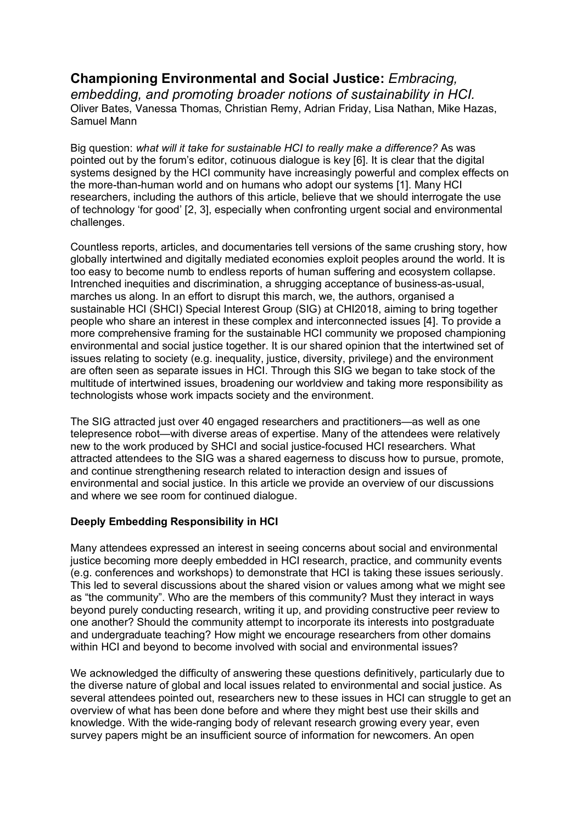# **Championing Environmental and Social Justice:** *Embracing,*

*embedding, and promoting broader notions of sustainability in HCI.* Oliver Bates, Vanessa Thomas, Christian Remy, Adrian Friday, Lisa Nathan, Mike Hazas, Samuel Mann

Big question: *what will it take for sustainable HCI to really make a difference?* As was pointed out by the forum's editor, cotinuous dialogue is key [6]. It is clear that the digital systems designed by the HCI community have increasingly powerful and complex effects on the more-than-human world and on humans who adopt our systems [1]. Many HCI researchers, including the authors of this article, believe that we should interrogate the use of technology 'for good' [2, 3], especially when confronting urgent social and environmental challenges.

Countless reports, articles, and documentaries tell versions of the same crushing story, how globally intertwined and digitally mediated economies exploit peoples around the world. It is too easy to become numb to endless reports of human suffering and ecosystem collapse. Intrenched inequities and discrimination, a shrugging acceptance of business-as-usual, marches us along. In an effort to disrupt this march, we, the authors, organised a sustainable HCI (SHCI) Special Interest Group (SIG) at CHI2018, aiming to bring together people who share an interest in these complex and interconnected issues [4]. To provide a more comprehensive framing for the sustainable HCI community we proposed championing environmental and social justice together. It is our shared opinion that the intertwined set of issues relating to society (e.g. inequality, justice, diversity, privilege) and the environment are often seen as separate issues in HCI. Through this SIG we began to take stock of the multitude of intertwined issues, broadening our worldview and taking more responsibility as technologists whose work impacts society and the environment.

The SIG attracted just over 40 engaged researchers and practitioners—as well as one telepresence robot—with diverse areas of expertise. Many of the attendees were relatively new to the work produced by SHCI and social justice-focused HCI researchers. What attracted attendees to the SIG was a shared eagerness to discuss how to pursue, promote, and continue strengthening research related to interaction design and issues of environmental and social justice. In this article we provide an overview of our discussions and where we see room for continued dialogue.

#### **Deeply Embedding Responsibility in HCI**

Many attendees expressed an interest in seeing concerns about social and environmental justice becoming more deeply embedded in HCI research, practice, and community events (e.g. conferences and workshops) to demonstrate that HCI is taking these issues seriously. This led to several discussions about the shared vision or values among what we might see as "the community". Who are the members of this community? Must they interact in ways beyond purely conducting research, writing it up, and providing constructive peer review to one another? Should the community attempt to incorporate its interests into postgraduate and undergraduate teaching? How might we encourage researchers from other domains within HCI and beyond to become involved with social and environmental issues?

We acknowledged the difficulty of answering these questions definitively, particularly due to the diverse nature of global and local issues related to environmental and social justice. As several attendees pointed out, researchers new to these issues in HCI can struggle to get an overview of what has been done before and where they might best use their skills and knowledge. With the wide-ranging body of relevant research growing every year, even survey papers might be an insufficient source of information for newcomers. An open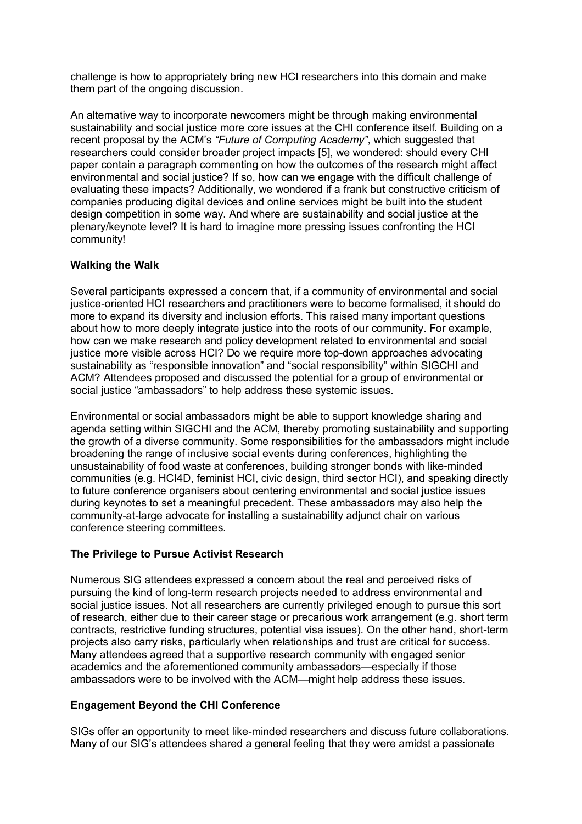challenge is how to appropriately bring new HCI researchers into this domain and make them part of the ongoing discussion.

An alternative way to incorporate newcomers might be through making environmental sustainability and social justice more core issues at the CHI conference itself. Building on a recent proposal by the ACM's *"Future of Computing Academy"*, which suggested that researchers could consider broader project impacts [5], we wondered: should every CHI paper contain a paragraph commenting on how the outcomes of the research might affect environmental and social justice? If so, how can we engage with the difficult challenge of evaluating these impacts? Additionally, we wondered if a frank but constructive criticism of companies producing digital devices and online services might be built into the student design competition in some way. And where are sustainability and social justice at the plenary/keynote level? It is hard to imagine more pressing issues confronting the HCI community!

#### **Walking the Walk**

Several participants expressed a concern that, if a community of environmental and social justice-oriented HCI researchers and practitioners were to become formalised, it should do more to expand its diversity and inclusion efforts. This raised many important questions about how to more deeply integrate justice into the roots of our community. For example, how can we make research and policy development related to environmental and social justice more visible across HCI? Do we require more top-down approaches advocating sustainability as "responsible innovation" and "social responsibility" within SIGCHI and ACM? Attendees proposed and discussed the potential for a group of environmental or social justice "ambassadors" to help address these systemic issues.

Environmental or social ambassadors might be able to support knowledge sharing and agenda setting within SIGCHI and the ACM, thereby promoting sustainability and supporting the growth of a diverse community. Some responsibilities for the ambassadors might include broadening the range of inclusive social events during conferences, highlighting the unsustainability of food waste at conferences, building stronger bonds with like-minded communities (e.g. HCI4D, feminist HCI, civic design, third sector HCI), and speaking directly to future conference organisers about centering environmental and social justice issues during keynotes to set a meaningful precedent. These ambassadors may also help the community-at-large advocate for installing a sustainability adjunct chair on various conference steering committees.

#### **The Privilege to Pursue Activist Research**

Numerous SIG attendees expressed a concern about the real and perceived risks of pursuing the kind of long-term research projects needed to address environmental and social justice issues. Not all researchers are currently privileged enough to pursue this sort of research, either due to their career stage or precarious work arrangement (e.g. short term contracts, restrictive funding structures, potential visa issues). On the other hand, short-term projects also carry risks, particularly when relationships and trust are critical for success. Many attendees agreed that a supportive research community with engaged senior academics and the aforementioned community ambassadors—especially if those ambassadors were to be involved with the ACM—might help address these issues.

#### **Engagement Beyond the CHI Conference**

SIGs offer an opportunity to meet like-minded researchers and discuss future collaborations. Many of our SIG's attendees shared a general feeling that they were amidst a passionate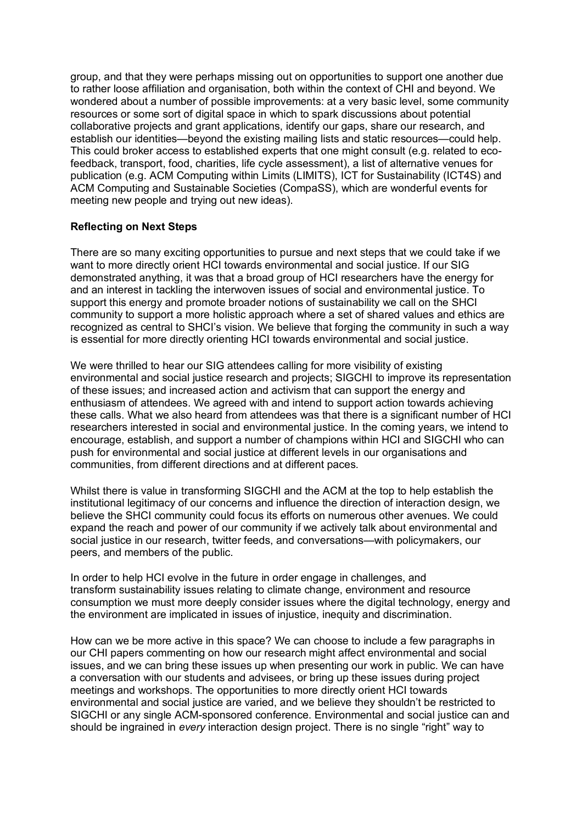group, and that they were perhaps missing out on opportunities to support one another due to rather loose affiliation and organisation, both within the context of CHI and beyond. We wondered about a number of possible improvements: at a very basic level, some community resources or some sort of digital space in which to spark discussions about potential collaborative projects and grant applications, identify our gaps, share our research, and establish our identities—beyond the existing mailing lists and static resources—could help. This could broker access to established experts that one might consult (e.g. related to ecofeedback, transport, food, charities, life cycle assessment), a list of alternative venues for publication (e.g. ACM Computing within Limits (LIMITS), ICT for Sustainability (ICT4S) and ACM Computing and Sustainable Societies (CompaSS), which are wonderful events for meeting new people and trying out new ideas).

#### **Reflecting on Next Steps**

There are so many exciting opportunities to pursue and next steps that we could take if we want to more directly orient HCI towards environmental and social justice. If our SIG demonstrated anything, it was that a broad group of HCI researchers have the energy for and an interest in tackling the interwoven issues of social and environmental justice. To support this energy and promote broader notions of sustainability we call on the SHCI community to support a more holistic approach where a set of shared values and ethics are recognized as central to SHCI's vision. We believe that forging the community in such a way is essential for more directly orienting HCI towards environmental and social justice.

We were thrilled to hear our SIG attendees calling for more visibility of existing environmental and social justice research and projects; SIGCHI to improve its representation of these issues; and increased action and activism that can support the energy and enthusiasm of attendees. We agreed with and intend to support action towards achieving these calls. What we also heard from attendees was that there is a significant number of HCI researchers interested in social and environmental justice. In the coming years, we intend to encourage, establish, and support a number of champions within HCI and SIGCHI who can push for environmental and social justice at different levels in our organisations and communities, from different directions and at different paces.

Whilst there is value in transforming SIGCHI and the ACM at the top to help establish the institutional legitimacy of our concerns and influence the direction of interaction design, we believe the SHCI community could focus its efforts on numerous other avenues. We could expand the reach and power of our community if we actively talk about environmental and social justice in our research, twitter feeds, and conversations—with policymakers, our peers, and members of the public.

In order to help HCI evolve in the future in order engage in challenges, and transform sustainability issues relating to climate change, environment and resource consumption we must more deeply consider issues where the digital technology, energy and the environment are implicated in issues of injustice, inequity and discrimination.

How can we be more active in this space? We can choose to include a few paragraphs in our CHI papers commenting on how our research might affect environmental and social issues, and we can bring these issues up when presenting our work in public. We can have a conversation with our students and advisees, or bring up these issues during project meetings and workshops. The opportunities to more directly orient HCI towards environmental and social justice are varied, and we believe they shouldn't be restricted to SIGCHI or any single ACM-sponsored conference. Environmental and social justice can and should be ingrained in *every* interaction design project. There is no single "right" way to